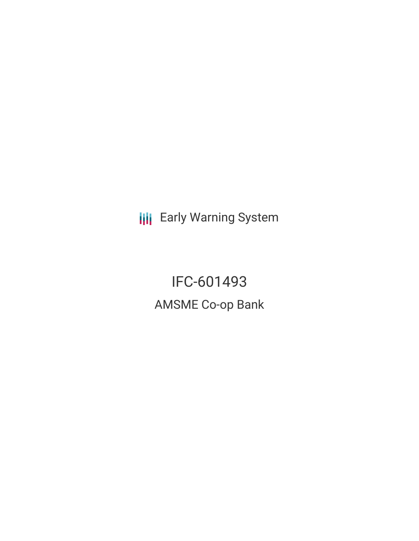**III** Early Warning System

IFC-601493 AMSME Co-op Bank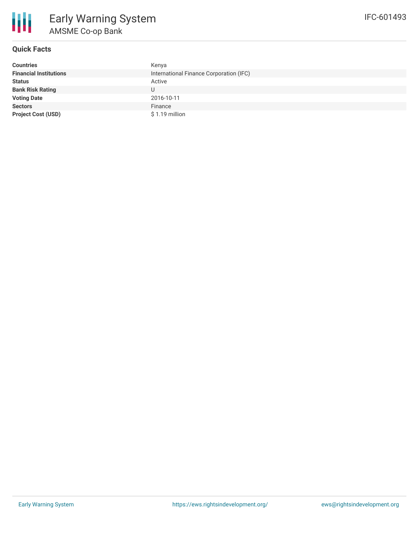



### **Quick Facts**

| <b>Countries</b>              | Kenya                                   |
|-------------------------------|-----------------------------------------|
| <b>Financial Institutions</b> | International Finance Corporation (IFC) |
| <b>Status</b>                 | Active                                  |
| <b>Bank Risk Rating</b>       | U                                       |
| <b>Voting Date</b>            | 2016-10-11                              |
| <b>Sectors</b>                | Finance                                 |
| <b>Project Cost (USD)</b>     | $$1.19$ million                         |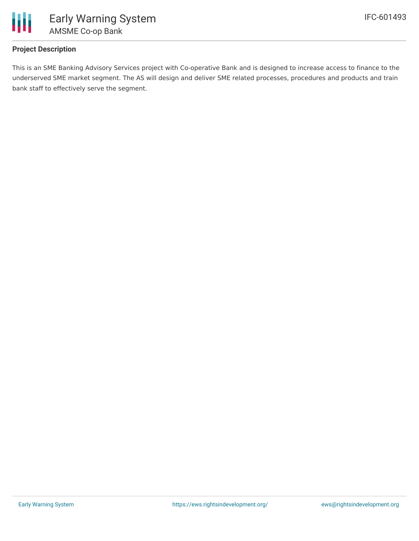

# **Project Description**

This is an SME Banking Advisory Services project with Co-operative Bank and is designed to increase access to finance to the underserved SME market segment. The AS will design and deliver SME related processes, procedures and products and train bank staff to effectively serve the segment.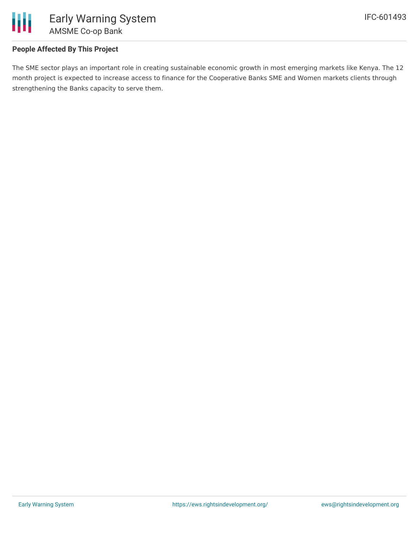

# **People Affected By This Project**

The SME sector plays an important role in creating sustainable economic growth in most emerging markets like Kenya. The 12 month project is expected to increase access to finance for the Cooperative Banks SME and Women markets clients through strengthening the Banks capacity to serve them.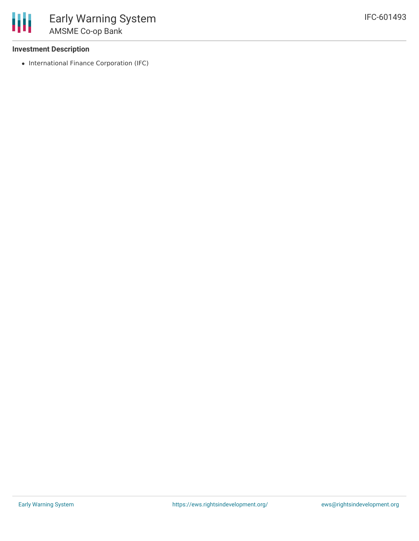#### **Investment Description**

• International Finance Corporation (IFC)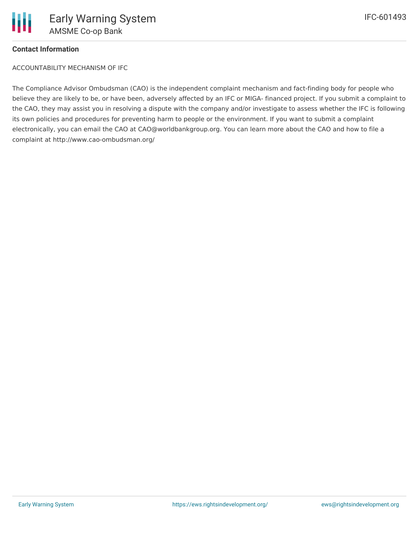

#### **Contact Information**

ACCOUNTABILITY MECHANISM OF IFC

The Compliance Advisor Ombudsman (CAO) is the independent complaint mechanism and fact-finding body for people who believe they are likely to be, or have been, adversely affected by an IFC or MIGA- financed project. If you submit a complaint to the CAO, they may assist you in resolving a dispute with the company and/or investigate to assess whether the IFC is following its own policies and procedures for preventing harm to people or the environment. If you want to submit a complaint electronically, you can email the CAO at CAO@worldbankgroup.org. You can learn more about the CAO and how to file a complaint at http://www.cao-ombudsman.org/